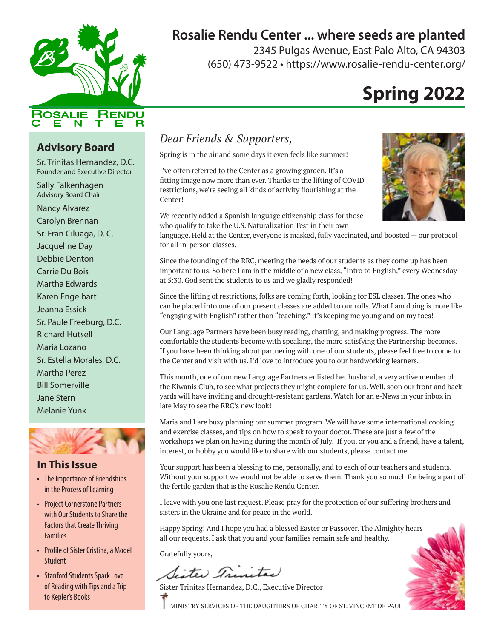

## **Rosalie Rendu Center ... where seeds are planted**

2345 Pulgas Avenue, East Palo Alto, CA 94303 (650) 473-9522 • https://www.rosalie-rendu-center.org/

# **Spring 2022**

### **Advisory Board**

Sr. Trinitas Hernandez, D.C. Founder and Executive Director

Sally Falkenhagen Advisory Board Chair

Nancy Alvarez Carolyn Brennan Sr. Fran Ciluaga, D. C. Jacqueline Day Debbie Denton Carrie Du Bois Martha Edwards Karen Engelbart Jeanna Essick Sr. Paule Freeburg, D.C. Richard Hutsell Maria Lozano Sr. Estella Morales, D.C. Martha Perez Bill Somerville Jane Stern Melanie Yunk



#### **In This Issue**

- The Importance of Friendships in the Process of Learning
- Project Cornerstone Partners with Our Students to Share the Factors that Create Thriving **Families**
- Profile of Sister Cristina, a Model **Student**
- Stanford Students Spark Love of Reading with Tips and a Trip to Kepler's Books

### *Dear Friends & Supporters,*

Spring is in the air and some days it even feels like summer!

I've often referred to the Center as a growing garden. It's a fitting image now more than ever. Thanks to the lifting of COVID restrictions, we're seeing all kinds of activity flourishing at the Center!

We recently added a Spanish language citizenship class for those who qualify to take the U.S. Naturalization Test in their own



language. Held at the Center, everyone is masked, fully vaccinated, and boosted — our protocol for all in-person classes.

Since the founding of the RRC, meeting the needs of our students as they come up has been important to us. So here I am in the middle of a new class, "Intro to English," every Wednesday at 5:30. God sent the students to us and we gladly responded!

Since the lifting of restrictions, folks are coming forth, looking for ESL classes. The ones who can be placed into one of our present classes are added to our rolls. What I am doing is more like "engaging with English" rather than "teaching." It's keeping me young and on my toes!

Our Language Partners have been busy reading, chatting, and making progress. The more comfortable the students become with speaking, the more satisfying the Partnership becomes. If you have been thinking about partnering with one of our students, please feel free to come to the Center and visit with us. I'd love to introduce you to our hardworking learners.

This month, one of our new Language Partners enlisted her husband, a very active member of the Kiwanis Club, to see what projects they might complete for us. Well, soon our front and back yards will have inviting and drought-resistant gardens. Watch for an e-News in your inbox in late May to see the RRC's new look!

Maria and I are busy planning our summer program. We will have some international cooking and exercise classes, and tips on how to speak to your doctor. These are just a few of the workshops we plan on having during the month of July. If you, or you and a friend, have a talent, interest, or hobby you would like to share with our students, please contact me.

Your support has been a blessing to me, personally, and to each of our teachers and students. Without your support we would not be able to serve them. Thank you so much for being a part of the fertile garden that is the Rosalie Rendu Center.

I leave with you one last request. Please pray for the protection of our suffering brothers and sisters in the Ukraine and for peace in the world.

Happy Spring! And I hope you had a blessed Easter or Passover. The Almighty hears all our requests. I ask that you and your families remain safe and healthy.

Gratefully yours,

Sister Trinital

Sister Trinitas Hernandez, D.C., Executive Director



MINISTRY SERVICES OF THE DAUGHTERS OF CHARITY OF ST. VINCENT DE PAUL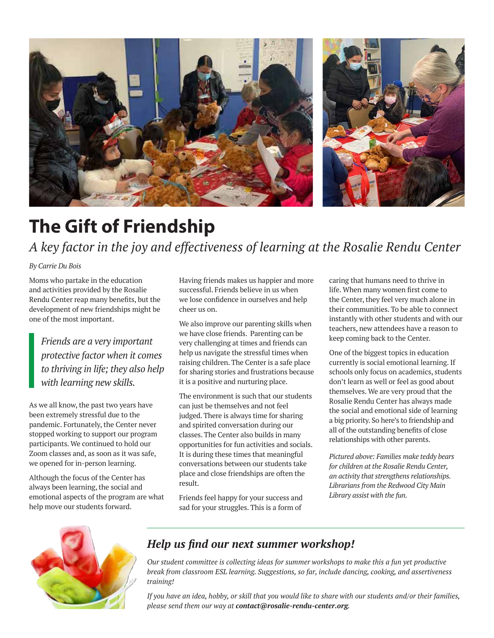

# **The Gift of Friendship**  *A key factor in the joy and effectiveness of learning at the Rosalie Rendu Center*

#### *By Carrie Du Bois*

Moms who partake in the education and activities provided by the Rosalie Rendu Center reap many benefits, but the development of new friendships might be one of the most important.

*Friends are a very important protective factor when it comes to thriving in life; they also help with learning new skills.* 

As we all know, the past two years have been extremely stressful due to the pandemic. Fortunately, the Center never stopped working to support our program participants. We continued to hold our Zoom classes and, as soon as it was safe, we opened for in-person learning.

Although the focus of the Center has always been learning, the social and emotional aspects of the program are what help move our students forward.

Having friends makes us happier and more successful. Friends believe in us when we lose confidence in ourselves and help cheer us on.

We also improve our parenting skills when we have close friends. Parenting can be very challenging at times and friends can help us navigate the stressful times when raising children. The Center is a safe place for sharing stories and frustrations because it is a positive and nurturing place.

The environment is such that our students can just be themselves and not feel judged. There is always time for sharing and spirited conversation during our classes. The Center also builds in many opportunities for fun activities and socials. It is during these times that meaningful conversations between our students take place and close friendships are often the result.

Friends feel happy for your success and sad for your struggles. This is a form of

caring that humans need to thrive in life. When many women first come to the Center, they feel very much alone in their communities. To be able to connect instantly with other students and with our teachers, new attendees have a reason to keep coming back to the Center.

One of the biggest topics in education currently is social emotional learning. If schools only focus on academics, students don't learn as well or feel as good about themselves. We are very proud that the Rosalie Rendu Center has always made the social and emotional side of learning a big priority. So here's to friendship and all of the outstanding benefits of close relationships with other parents.

*Pictured above: Families make teddy bears for children at the Rosalie Rendu Center, an activity that strengthens relationships. Librarians from the Redwood City Main Library assist with the fun.* 



### *Help us find our next summer workshop!*

*Our student committee is collecting ideas for summer workshops to make this a fun yet productive break from classroom ESL learning. Suggestions, so far, include dancing, cooking, and assertiveness training!* 

*If you have an idea, hobby, or skill that you would like to share with our students and/or their families, please send them our way at contact@rosalie-rendu-center.org.*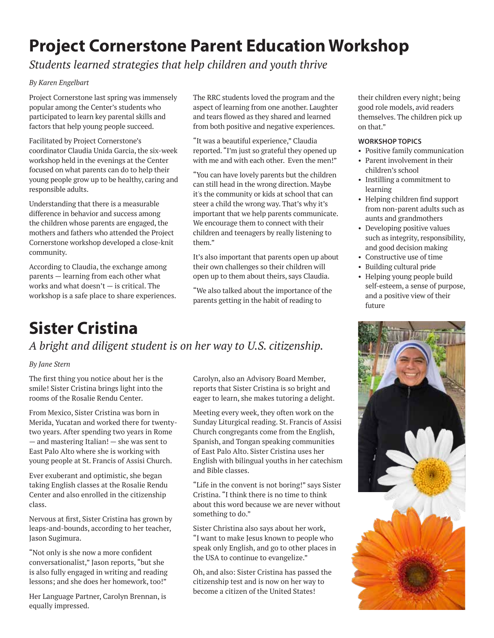#### $\sim$   $\sim$   $\sim$   $\sim$  M/ $\sim$  when  $\sim$   $\sim$ **Project Cornerstone Parent Education Workshop**

 $\mathcal{Y}$ gears in Rome (and mastering Italian ) she was sent to East Palois Palois Palois Palois Palois Palois Palois Palois Palois Palois Palois Palois Palois Palois Palois Palois Palois Palois Palois Palois Palois Palois *Students learned strategies that help children and youth thrive*

#### *By Karen Engelbart*

Project Cornerstone last spring was immensely popular among the Center's students who participated to learn key parental skills and factors that help young people succeed.

Facilitated by Project Cornerstone's coordinator Claudia Unida Garcia, the six-week workshop held in the evenings at the Center focused on what parents can do to help their young people grow up to be healthy, caring and responsible adults.

Understanding that there is a measurable difference in behavior and success among the children whose parents are engaged, the mothers and fathers who attended the Project Cornerstone workshop developed a close-knit community.

According to Claudia, the exchange among parents — learning from each other what works and what doesn't — is critical. The workshop is a safe place to share experiences.

The RRC students loved the program and the aspect of learning from one another. Laughter and tears flowed as they shared and learned from both positive and negative experiences.

"It was a beautiful experience," Claudia **WORKSHOP TOPICS** reported. "I'm just so grateful they opened up with me and with each other. Even the men!"

"You can have lovely parents but the children succession of the children can still head in the wrong direction. Maybe it's the community or kids at school that can steer a child the wrong way. That's why it's important that we help parents communicate. We encourage them to connect with their children and teenagers by really listening to them."

It's also important that parents open up about their own challenges so their children will open up to them about theirs, says Claudia.

"We also talked about the importance of the parents getting in the habit of reading to

### **Sister Cristina** *A bright and diligent student is on her way to U.S. citizenship.*

#### *By Jane Stern*

The first thing you notice about her is the smile! Sister Cristina brings light into the rooms of the Rosalie Rendu Center.

From Mexico, Sister Cristina was born in Merida, Yucatan and worked there for twentytwo years. After spending two years in Rome — and mastering Italian! — she was sent to East Palo Alto where she is working with young people at St. Francis of Assisi Church.

Ever exuberant and optimistic, she began taking English classes at the Rosalie Rendu Center and also enrolled in the citizenship class.

Nervous at first, Sister Cristina has grown by leaps-and-bounds, according to her teacher, Jason Sugimura.

"Not only is she now a more confident conversationalist," Jason reports, "but she is also fully engaged in writing and reading lessons; and she does her homework, too!"

Her Language Partner, Carolyn Brennan, is equally impressed.

Carolyn, also an Advisory Board Member, reports that Sister Cristina is so bright and eager to learn, she makes tutoring a delight.

Meeting every week, they often work on the Sunday Liturgical reading. St. Francis of Assisi Church congregants come from the English, Spanish, and Tongan speaking communities of East Palo Alto. Sister Cristina uses her English with bilingual youths in her catechism and Bible classes.

"Life in the convent is not boring!" says Sister Cristina. "I think there is no time to think about this word because we are never without something to do."

Sister Christina also says about her work, "I want to make Jesus known to people who speak only English, and go to other places in the USA to continue to evangelize."

Oh, and also: Sister Cristina has passed the citizenship test and is now on her way to become a citizen of the United States!

d the program and the "children every night; being one another. Laughter good role models, avid readers y shared and learned hemselves. The children pick up on that."

#### **WORKSHOP TOPICS**

- rateful they opened up Positive family communication
	- Parent involvement in their children's school
	- Instilling a commitment to learning
	- Helping children find support from non-parent adults such as aunts and grandmothers
	- Developing positive values such as integrity, responsibility, and good decision making
	- Constructive use of time
	- Building cultural pride
	- Helping young people build self-esteem, a sense of purpose, and a positive view of their future